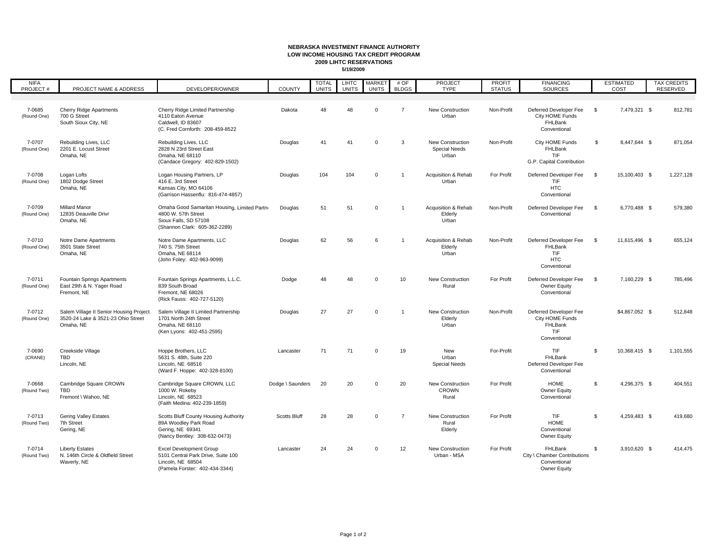## **NEBRASKA INVESTMENT FINANCE AUTHORITY LOW INCOME HOUSING TAX CREDIT PROGRAM2009 LIHTC RESERVATIONS5/19/2009**

L

| <b>NIFA</b><br>PROJECT# | PROJECT NAME & ADDRESS                                                                     | DEVELOPER/OWNER                                                                                                               | COUNTY              | <b>TOTAL</b><br><b>UNITS</b> | <b>LIHTC</b><br><b>UNITS</b> | <b>MARKET</b><br><b>UNITS</b> | # OF<br><b>BLDGS</b> | <b>PROJECT</b><br><b>TYPE</b>                     | <b>PROFIT</b><br><b>STATUS</b> | <b>FINANCING</b><br><b>SOURCES</b>                                          | <b>ESTIMATED</b><br>COST |                | <b>TAX CREDITS</b><br>RESERVED |
|-------------------------|--------------------------------------------------------------------------------------------|-------------------------------------------------------------------------------------------------------------------------------|---------------------|------------------------------|------------------------------|-------------------------------|----------------------|---------------------------------------------------|--------------------------------|-----------------------------------------------------------------------------|--------------------------|----------------|--------------------------------|
|                         |                                                                                            |                                                                                                                               |                     |                              |                              |                               |                      |                                                   |                                |                                                                             |                          |                |                                |
| 7-0685<br>(Round One)   | <b>Cherry Ridge Apartments</b><br>700 G Street<br>South Sioux City, NE                     | Cherry Ridge Limited Partnership<br>4110 Eaton Avenue<br>Caldwell. ID 83607<br>(C. Fred Cornforth: 208-459-8522               | Dakota              | 48                           | 48                           | $\mathbf 0$                   | $\overline{7}$       | New Construction<br>Urban                         | Non-Profit                     | Deferred Developer Fee<br>City HOME Funds<br>FHLBank<br>Conventional        | \$                       | 7,479,321 \$   | 812,781                        |
| 7-0707<br>(Round One)   | Rebuilding Lives, LLC<br>2201 E. Locust Street<br>Omaha, NE                                | Rebuilding Lives, LLC<br>2828 N 23rd Street East<br>Omaha, NE 68110<br>(Candace Gregory: 402-829-1502)                        | Douglas             | 41                           | 41                           | $\mathbf 0$                   | 3                    | New Construction<br><b>Special Needs</b><br>Urban | Non-Profit                     | City HOME Funds<br>FHLBank<br>TIF<br>G.P. Capital Contribution              | $\mathfrak{s}$           | 8,447,644 \$   | 871,054                        |
| 7-0708<br>(Round One)   | Logan Lofts<br>1802 Dodge Street<br>Omaha, NE                                              | Logan Housing Partners, LP<br>416 E. 3rd Street<br>Kansas City, MO 64106<br>(Garrison Hassenflu: 816-474-4857)                | Douglas             | 104                          | 104                          | $\mathbf 0$                   | $\mathbf{1}$         | Acquisition & Rehab<br>Urban                      | For Profit                     | Deferred Developer Fee<br>TIF<br><b>HTC</b><br>Conventional                 | \$                       | 15,100,403 \$  | 1,227,128                      |
| 7-0709<br>(Round One)   | <b>Millard Manor</b><br>12835 Deauville Drivr<br>Omaha, NE                                 | Omaha Good Samaritan Housing, Limited Partni<br>4800 W. 57th Street<br>Sioux Falls, SD 57108<br>(Shannon Clark: 605-362-2289) | Douglas             | 51                           | 51                           | $\mathbf 0$                   | 1                    | Acquisition & Rehab<br>Elderly<br>Urban           | Non-Profit                     | Deferred Developer Fee<br>Conventional                                      | \$                       | 6,770,488 \$   | 579,380                        |
| 7-0710<br>(Round One)   | Notre Dame Apartments<br>3501 State Street<br>Omaha, NE                                    | Notre Dame Apartments, LLC<br>740 S. 75th Street<br>Omaha, NE 68114<br>(John Foley: 402-963-9099)                             | Douglas             | 62                           | 56                           | 6                             |                      | Acquisition & Rehab<br>Elderly<br>Urban           | Non-Profit                     | Deferred Developer Fee<br>FHLBank<br>TIF<br><b>HTC</b><br>Conventional      | \$                       | 11,615,496 \$  | 655,124                        |
| 7-0711<br>(Round One)   | Fountain Springs Apartments<br>East 29th & N. Yager Road<br>Fremont, NE                    | Fountain Springs Apartments, L.L.C.<br>839 South Broad<br>Fremont, NE 68026<br>(Rick Fauss: 402-727-5120)                     | Dodge               | 48                           | 48                           | $\mathbf 0$                   | 10                   | New Construction<br>Rural                         | For Profit                     | Deferred Developer Fee<br>Owner Equity<br>Conventional                      | \$                       | 7,160,229 \$   | 785,496                        |
| 7-0712<br>(Round One)   | Salem Village II Senior Housing Project<br>3520-24 Lake & 3521-23 Ohio Street<br>Omaha, NE | Salem Village II Limited Partnership<br>1701 North 24th Street<br>Omaha, NE 68110<br>(Ken Lyons: 402-451-2595)                | Douglas             | 27                           | 27                           | $\mathbf 0$                   | 1                    | <b>New Construction</b><br>Elderly<br>Urban       | Non-Profit                     | Deferred Developer Fee<br>City HOME Funds<br>FHLBank<br>TIF<br>Conventional |                          | \$4,867,052 \$ | 512,848                        |
| 7-0690<br>(CRANE)       | Creekside Village<br>TBD<br>Lincoln, NE                                                    | Hoppe Brothers, LLC<br>5631 S. 48th, Suite 220<br>Lincoln, NE 68516<br>(Ward F. Hoppe: 402-328-8100)                          | Lancaster           | 71                           | 71                           | $\Omega$                      | 19                   | New<br>Urban<br><b>Special Needs</b>              | For-Profit                     | <b>TIF</b><br>FHLBank<br>Deferred Developer Fee<br>Conventional             | $\mathfrak{s}$           | 10,368,415 \$  | 1,101,555                      |
| 7-0668<br>(Round Two)   | Cambridge Square CROWN<br><b>TBD</b><br>Fremont \ Wahoo, NE                                | Cambridge Square CROWN, LLC<br>1000 W. Rokeby<br>Lincoln, NE 68523<br>(Faith Medina: 402-239-1859)                            | Dodge \ Saunders    | 20                           | 20                           | $\Omega$                      | 20                   | New Construction<br>CROWN<br>Rural                | For Profit                     | HOME<br>Owner Equity<br>Conventional                                        | \$                       | 4,296,375 \$   | 404,551                        |
| 7-0713<br>(Round Two)   | <b>Gering Valley Estates</b><br>7th Street<br>Gering, NE                                   | Scotts Bluff County Housing Authority<br>89A Woodley Park Road<br>Gering, NE 69341<br>(Nancy Bentley: 308-632-0473)           | <b>Scotts Bluff</b> | 28                           | 28                           | $\mathbf 0$                   | $\overline{7}$       | New Construction<br>Rural<br>Elderly              | For Profit                     | TIF<br><b>HOME</b><br>Conventional<br>Owner Equity                          | $\mathfrak{L}$           | 4,259,483 \$   | 419,680                        |
| 7-0714<br>(Round Two)   | <b>Liberty Estates</b><br>N. 146th Circle & Oldfield Street<br>Waverly, NE                 | <b>Excel Development Group</b><br>5101 Central Park Drive, Suite 100<br>Lincoln, NE 68504<br>(Pamela Forster: 402-434-3344)   | Lancaster           | 24                           | 24                           | $\mathbf 0$                   | 12                   | <b>New Construction</b><br>Urban - MSA            | For Profit                     | FHLBank<br>City \ Chamber Contributions<br>Conventional<br>Owner Equity     | \$                       | 3,910,620 \$   | 414,475                        |